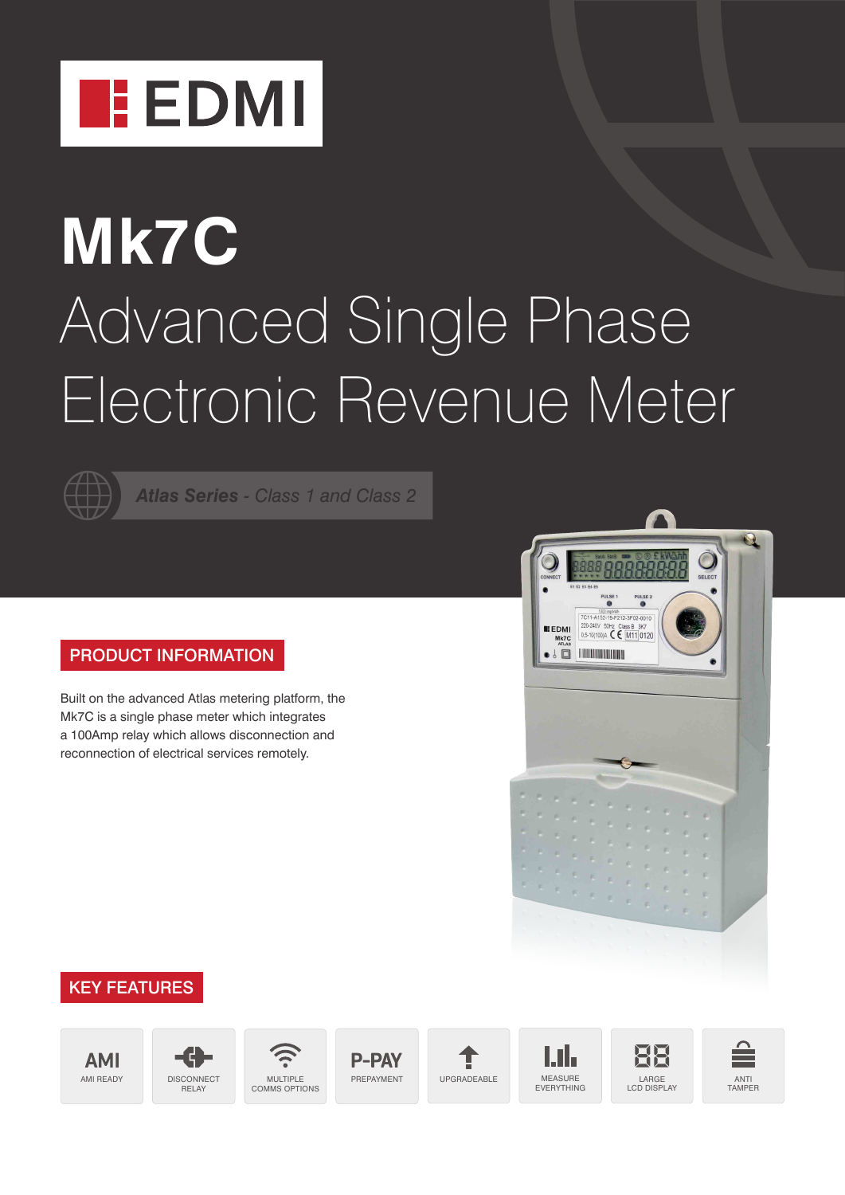

# **Mk7C** Advanced Single Phase Electronic Revenue Meter



*Atlas Series - Class 1 and Class 2*

### PRODUCT INFORMATION

Built on the advanced Atlas metering platform, the Mk7C is a single phase meter which integrates a 100Amp relay which allows disconnection and reconnection of electrical services remotely.



## KEY FEATURES